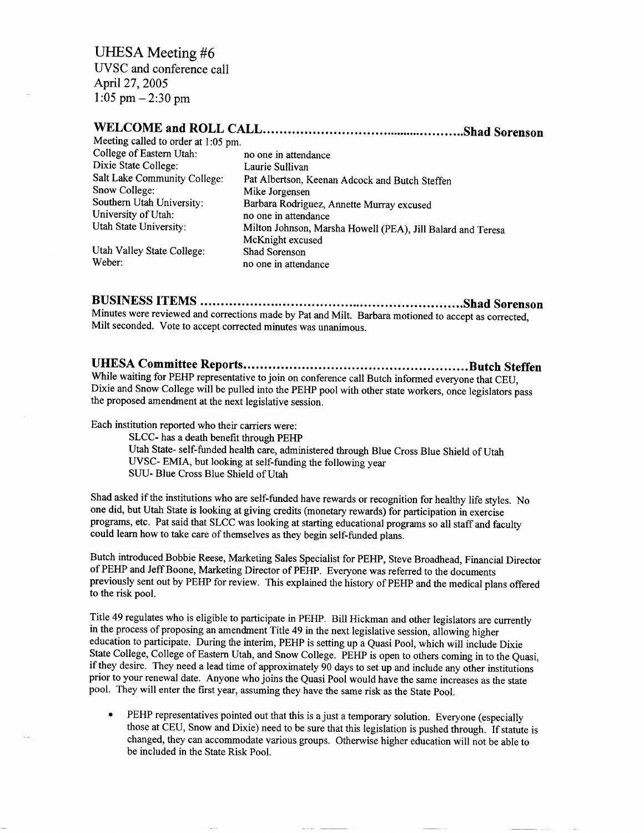UHESA Meeting #6 UVSC and conference call April 27, 2005  $1:05$  pm  $-2:30$  pm

## **WELCOME and ROLL CALL Shad Sorenson**

| Meeting called to order at 1:05 pm. |
|-------------------------------------|
| College of Eastern Utah:            |
| Dixie State College:                |
| Salt Lake Community College:        |
| Snow College:                       |
| Southern Utah University:           |
| University of Utah:                 |
| Utah State University:              |
|                                     |

no one in attendance Laurie Sullivan Pat Albertson, Keenan Adcock and Butch Steffen Mike Jorgensen Barbara Rodriguez, Annette Murray excused no one in attendance Milton Johnson, Marsha Howell (PEA), Jill Balard and Teresa McKnight excused

Utah Valley State College: Shad Sorenson Weber: no one in attendance

**BUSINESS ITEMS Shad Sorenson** Minutes were reviewed and corrections made by Pat and Milt. Barbara motioned to accept as corrected, Milt seconded. Vote to accept corrected minutes was unanimous.

# **UHESA Committee Reports Butch Steffen**

While waiting for PEHP representative to join on conference call Butch informed everyone that CEU, Dixie and Snow College will be pulled into the PEHP pool with other state workers, once legislators pass the proposed amendment at the next legislative session.

Each institution reported who their carriers were:

SLCC- has a death benefit through PEHP Utah State- self-funded health care, administered through Blue Cross Blue Shield of Utah UVSC- EMIA, but looking at self-funding the following year SUU- Blue Cross Blue Shield of Utah

Shad asked if the institutions who are self-funded have rewards or recognition for healthy life styles. No one did, but Utah State is looking at giving credits (monetary rewards) for participation in exercise programs, etc. Pat said that SLCC was looking at starting educational programs so all staff and faculty could learn how to take care of themselves as they begin self-funded plans.

Butch introduced Bobbie Reese, Marketing Sales Specialist for PEHP, Steve Broadhead, Financial Director of PEHP and Jeff Boone, Marketing Director of PEHP. Everyone was referred to the documents previously sent out by PEHP for review. This explained the history of PEHP and the medical plans offered to the risk pool.

Title 49 regulates who is eligible to participate in PEHP. Bill Hickman and other legislators are currently in the process of proposing an amendment Title 49 in the next legislative session, allowing higher education to participate. During the interim, PEHP is setting up a Quasi Pool, which will include Dixie State College, College of Eastern Utah, and Snow College. PEHP is open to others coming in to the Quasi, if they desire. They need a lead time of approximately 90 days to set up and include any other institutions prior to your renewal date. Anyone who joins the Quasi Pool would have the same increases as the state pool. They will enter the first year, assuming they have the same risk as the State Pool.

PEHP representatives pointed out that this is a just a temporary solution. Everyone (especially those at CEU, Snow and Dixie) need to be sure that this legislation is pushed through. If statute is changed, they can accommodate various groups. Otherwise higher education will not be able to be included in the State Risk Pool.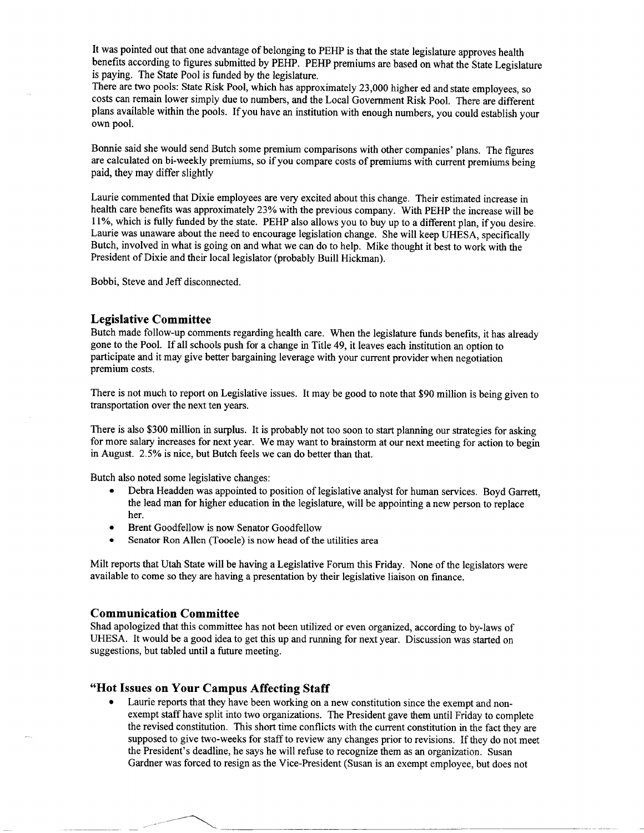It was pointed out that one advantage of belonging to PEHP is that the state legislature approves health benefits according to figures submitted by PEHP. PEHP premiums are based on what the State Legislature is paying. The State Pool is funded by the legislature.

There are two pools: State Risk Pool, which has approximately 23,000 higher ed and state employees, so costs can remain lower simply due to numbers, and the Local Government Risk Pool. There are different plans available within the pools. If you have an institution with enough numbers, you could establish your own pool.

Bonnie said she would send Butch some premium comparisons with other companies' plans. The figures are calculated on bi-weekly premiums, so if you compare costs of premiums with current premiums being paid, they may differ slightly

Laurie commented that Dixie employees are very excited about this change. Their estimated increase in health care benefits was approximately 23% with the previous company. With PEHP the increase will be 11%, which is fully funded by the state. PEHP also allows you to buy up to a different plan, if you desire. Laurie was unaware about the need to encourage legislation change. She will keep UHESA, specifically Butch, involved in what is going on and what we can do to help. Mike thought it best to work with the President of Dixie and their local legislator (probably Buill Hickman).

Bobbi, Steve and Jeff disconnected.

#### **Legislative Committee**

Butch made follow-up comments regarding health care. When the legislature funds benefits, it has already gone to the Pool. If all schools push for a change in Title 49, it leaves each institution an option to participate and it may give better bargaining leverage with your current provider when negotiation premium costs.

There is not much to report on Legislative issues. It may be good to note that \$90 million is being given to transportation over the next ten years.

There is also \$300 million in surplus. It is probably not too soon to start planning our strategies for asking for more salary increases for next year. We may want to brainstorm at our next meeting for action to begin in August. 2.5% is nice, but Butch feels we can do better than that.

Butch also noted some legislative changes:

- Debra Headden was appointed to position of legislative analyst for human services. Boyd Garrett, the lead man for higher education in the legislature, will be appointing a new person to replace her.
- Brent Goodfellow is now Senator Goodfellow
- Senator Ron Allen (Tooele) is now head of the utilities area

Milt reports that Utah State will be having a Legislative Forum this Friday. None of the legislators were available to come so they are having a presentation by their legislative liaison on finance.

#### **Communication Committee**

Shad apologized that this committee has not been utilized or even organized, according to by-laws of UHESA. It would be a good idea to get this up and running for next year. Discussion was started on suggestions, but tabled until a future meeting.

### **'Hot Issues on Your Campus Affecting Staff**

Laurie reports that they have been working on a new constitution since the exempt and nonexempt staff have split into two organizations. The President gave them until Friday to complete the revised constitution. This short time conflicts with the current constitution in the fact they are supposed to give two-weeks for staff to review any changes prior to revisions. If they do not meet the President's deadline, he says he will refuse to recognize them as an organization. Susan Gardner was forced to resign as the Vice-President (Susan is an exempt employee, but does not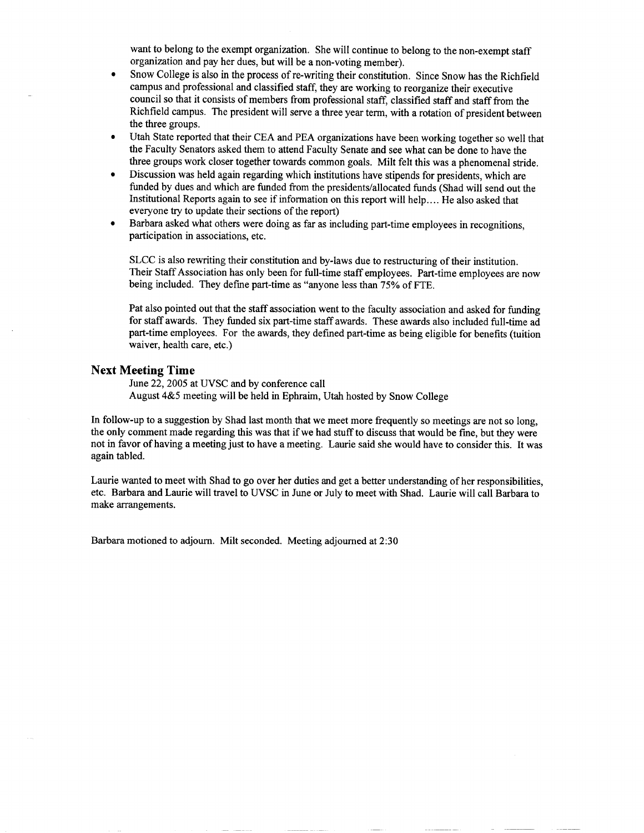want to belong to the exempt organization. She will continue to belong to the non-exempt staff organization and pay her dues, but will be a non-voting member).

- Snow College is also in the process of re-writing their constitution. Since Snow has the Richfield campus and professional and classified staff, they are working to reorganize their executive council so that it consists of members from professional staff, classified staff and staff from the Richfield campus. The president will serve a three year term, with a rotation of president between the three groups.
- Utah State reported that their CEA and PEA organizations have been working together so well that the Faculty Senators asked them to attend Faculty Senate and see what can be done to have the three groups work closer together towards common goals. Milt felt this was a phenomenal stride.
- Discussion was held again regarding which institutions have stipends for presidents, which are funded by dues and which are funded from the presidents/allocated funds (Shad will send out the Institutional Reports again to see if information on this report will help.... He also asked that everyone try to update their sections of the report)
- Barbara asked what others were doing as far as including part-time employees in recognitions, participation in associations, etc.

SLCC is also rewriting their constitution and by-laws due to restructuring of their institution. Their Staff Association has only been for full-time staff employees. Part-time employees are now being included. They define part-time as "anyone less than 75% of FTE.

Pat also pointed out that the staff association went to the faculty association and asked for funding for staff awards. They funded six part-time staff awards. These awards also included full-time ad part-time employees. For the awards, they defined part-time as being eligible for benefits (tuition waiver, health care, etc.)

#### Next **Meeting Time**

June 22,2005 at UVSC and by conference call August 4&5 meeting will be held in Ephraim, Utah hosted by Snow College

In follow-up to a suggestion by Shad last month that we meet more frequently so meetings are not so long, the only comment made regarding this was that if we had stuff to discuss that would be fine, but they were not in favor of having a meeting just to have a meeting. Laurie said she would have to consider this. It was again tabled.

Laurie wanted to meet with Shad to go over her duties and get a better understanding of her responsibilities, etc. Barbara and Laurie will travel to UVSC in June or July to meet with Shad. Laurie will call Barbara to make arrangements.

Barbara motioned to adjourn. Milt seconded. Meeting adjourned at 2:30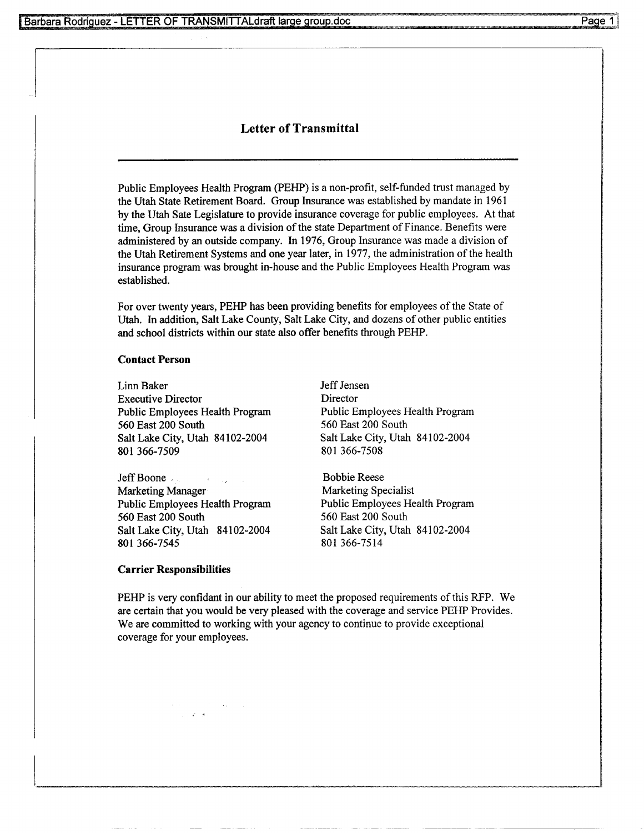# **Letter of Transmittal**

Public Employees Health Program (PEHP) is a non-profit, self-funded trust managed by the Utah State Retirement Board. Group Insurance was established by mandate in 1961 by the Utah Sate Legislature to provide insurance coverage for public employees. At that time, Group Insurance was a division of the state Department of Finance. Benefits were administered by an outside company. In 1976, Group Insurance was made a division of the Utah Retirement Systems and one year later, in 1977, the administration of the health insurance program was brought in-house and the Public Employees Health Program was established.

For over twenty years, PEHP has been providing benefits for employees of the State of Utah. In addition, Salt Lake County, Salt Lake City, and dozens of other public entities and school districts within our state also offer benefits through PEHP.

#### **Contact Person**

Linn Baker Jeff Jensen Executive Director Director 560 East 200 South 560 East 200 South Salt Lake City, Utah 84102-2004 Salt Lake City, Utah 84102-2004 801 366-7509 801 366-7508

Jeff Boone , Bobbie Reese Marketing Manager Marketing Specialist Public Employees Health Program Public Employees Health Program 560 East 200 South 560 East 200 South Salt Lake City, Utah 84102-2004 Salt Lake City, Utah 84102-2004 801366-7545 801366-7514

Public Employees Health Program Public Employees Health Program

#### **Carrier Responsibilities**

PEHP is very confidant in our ability to meet the proposed requirements of this RFP. We are certain that you would be very pleased with the coverage and service PEHP Provides. We are committed to working with your agency to continue to provide exceptional coverage for your employees.

 $\mathcal{L}=\mathcal{A}$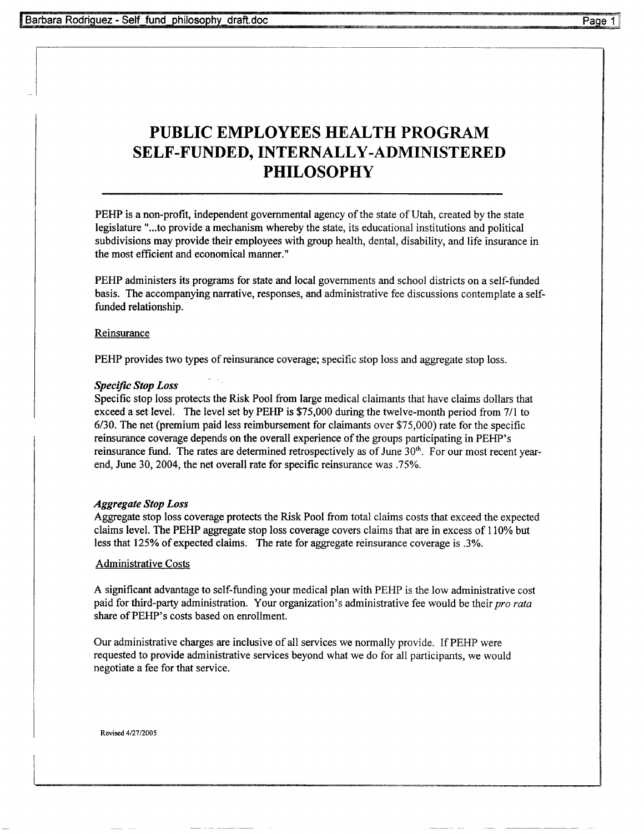# **PUBLIC EMPLOYEES HEALTH PROGRAM SELF-FUNDED, INTERNALLY-ADMINISTERED PHILOSOPHY**

PEHP is a non-profit, independent governmental agency of the state of Utah, created by the state legislature "...to provide a mechanism whereby the state, its educational institutions and political subdivisions may provide their employees with group health, dental, disability, and life insurance in the most efficient and economical manner."

PEHP administers its programs for state and local governments and school districts on a self-funded basis. The accompanying narrative, responses, and administrative fee discussions contemplate a selffunded relationship.

#### Reinsurance

PEHP provides two types of reinsurance coverage; specific stop loss and aggregate stop loss.

#### *Specific Stop Loss*

Specific stop loss protects the Risk Pool from large medical claimants that have claims dollars that exceed a set level. The level set by PEHP is \$75,000 during the twelve-month period from 7/1 to 6/30. The net (premium paid less reimbursement for claimants over \$75,000) rate for the specific reinsurance coverage depends on the overall experience of the groups participating in PEHP's reinsurance fund. The rates are determined retrospectively as of June 30<sup>th</sup>. For our most recent yearend, June 30, 2004, the net overall rate for specific reinsurance was .75%.

### *Aggregate Stop Loss*

Aggregate stop loss coverage protects the Risk Pool from total claims costs that exceed the expected claims level. The PEHP aggregate stop loss coverage covers claims that are in excess of 110% but less that 125% of expected claims. The rate for aggregate reinsurance coverage is .3%.

#### Administrative Costs

A significant advantage to self-funding your medical plan with PEHP is the low administrative cost paid for third-party administration. Your organization's administrative fee would be their *pro rata* share of PEHP's costs based on enrollment.

Our administrative charges are inclusive of all services we normally provide. If PEHP were requested to provide administrative services beyond what we do for all participants, we would negotiate a fee for that service.

**Revised** 4/27/2005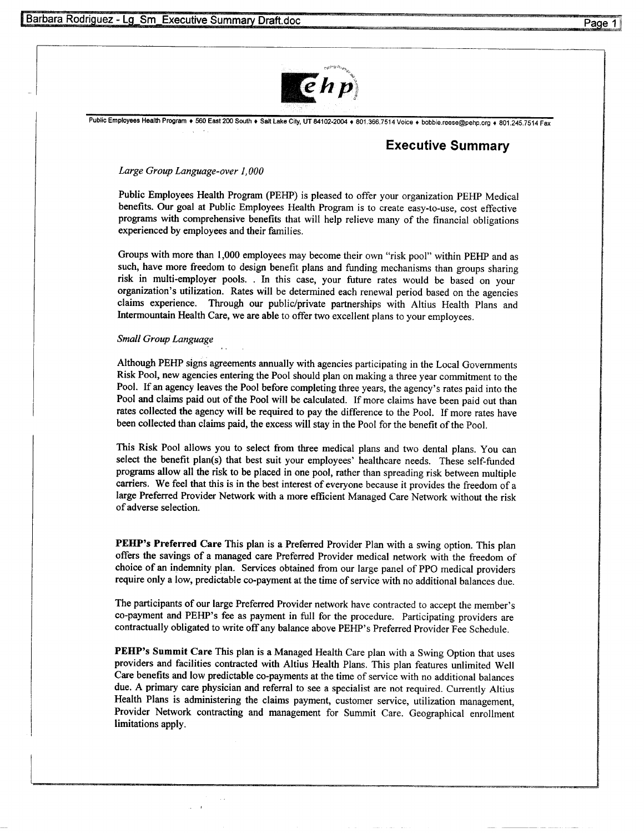

Public Employees Health Program + 560 East 200 South + Salt Lake City, UT 84102-2004 + 801.366.7514 Voice + bobbie.reese@pehp.org + 801.245.7514 Fax

# **Executive Summary**

#### *Large Group Language-over 1,000*

Public Employees Health Program (PEHP) is pleased to offer your organization PEHP Medical benefits. Our goal at Public Employees Health Program is to create easy-to-use, cost effective programs with comprehensive benefits that will help relieve many of the financial obligations experienced by employees and their families.

Groups with more than 1,000 employees may become their own "risk pool" within PEHP and as such, have more freedom to design benefit plans and funding mechanisms than groups sharing risk in multi-employer pools. . In this case, your future rates would be based on your organization's utilization. Rates will be determined each renewal period based on the agencies claims experience. Through our public/private partnerships with Altius Health Plans and Intermountain Health Care, we are able to offer two excellent plans to your employees.

#### *Small Group Language*

Although PEHP signs agreements annually with agencies participating in the Local Governments Risk Pool, new agencies entering the Pool should plan on making a three year commitment to the Pool. If an agency leaves the Pool before completing three years, the agency's rates paid into the Pool and claims paid out of the Pool will be calculated. If more claims have been paid out than rates collected the agency will be required to pay the difference to the Pool. If more rates have been collected than claims paid, the excess will stay in the Pool for the benefit of the Pool.

This Risk Pool allows you to select from three medical plans and two dental plans. You can select the benefit plan(s) that best suit your employees' healthcare needs. These self-funded programs allow all the risk to be placed in one pool, rather than spreading risk between multiple carriers. We feel that this is in the best interest of everyone because it provides the freedom of a large Preferred Provider Network with a more efficient Managed Care Network without the risk of adverse selection.

**PEHP's Preferred Care** This plan is a Preferred Provider Plan with a swing option. This plan offers the savings of a managed care Preferred Provider medical network with the freedom of choice of an indemnity plan. Services obtained from our large panel of PPO medical providers require only a low, predictable co-payment at the time of service with no additional balances due.

The participants of our large Preferred Provider network have contracted to accept the member's co-payment and PEHP's fee as payment in full for the procedure. Participating providers are contractually obligated to write off any balance above PEHP's Preferred Provider Fee Schedule.

**PEHP's Summit Care** This plan is a Managed Health Care plan with a Swing Option that uses providers and facilities contracted with Altius Health Plans. This plan features unlimited Well Care benefits and low predictable co-payments at the time of service with no additional balances due. A primary care physician and referral to see a specialist are not required. Currently Altius Health Plans is administering the claims payment, customer service, utilization management, Provider Network contracting and management for Summit Care. Geographical enrollment limitations apply.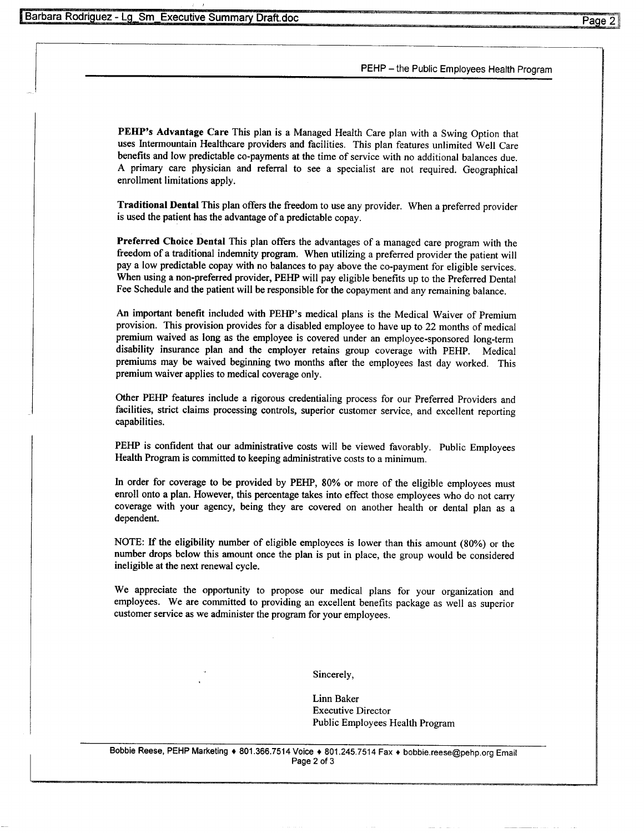#### PEHP - the Public Employees Health Program

**PEHP's Advantage Care** This plan is a Managed Health Care plan with a Swing Option that uses Intermountain Healthcare providers and facilities. This plan features unlimited Well Care benefits and low predictable co-payments at the time of service with no additional balances due. A primary care physician and referral to see a specialist are not required. Geographical enrollment limitations apply.

**Traditional Dental** This plan offers the freedom to use any provider. When a preferred provider is used the patient has the advantage of a predictable copay.

**Preferred Choice Dental** This plan offers the advantages of a managed care program with the freedom of a traditional indemnity program. When utilizing a preferred provider the patient will pay a low predictable copay with no balances to pay above the co-payment for eligible services. When using a non-preferred provider, PEHP will pay eligible benefits up to the Preferred Dental Fee Schedule and the patient will be responsible for the copayment and any remaining balance.

An important benefit included with PEHP's medical plans is the Medical Waiver of Premium provision. This provision provides for a disabled employee to have up to 22 months of medical premium waived as long as the employee is covered under an employee-sponsored long-term disability insurance plan and the employer retains group coverage with PEHP. Medical premiums may be waived beginning two months after the employees last day worked. This premium waiver applies to medical coverage only.

Other PEHP features include a rigorous credentialing process for our Preferred Providers and facilities, strict claims processing controls, superior customer service, and excellent reporting capabilities.

PEHP is confident that our administrative costs will be viewed favorably. Public Employees Health Program is committed to keeping administrative costs to a minimum.

In order for coverage to be provided by PEHP, 80% or more of the eligible employees must enroll onto a plan. However, this percentage takes into effect those employees who do not carry coverage with your agency, being they are covered on another health or dental plan as a dependent.

NOTE: If the eligibility number of eligible employees is lower than this amount (80%) or the number drops below this amount once the plan is put in place, the group would be considered ineligible at the next renewal cycle.

We appreciate the opportunity to propose our medical plans for your organization and employees. We are committed to providing an excellent benefits package as well as superior customer service as we administer the program for your employees.

Sincerely,

Linn Baker Executive Director Public Employees Health Program

Bobbie **Reese,** PEHP Marketing » 801.366.7514 Voice » 801.245.7514 Fax » bobbie.reese@pehp.org Email Page 2 of 3